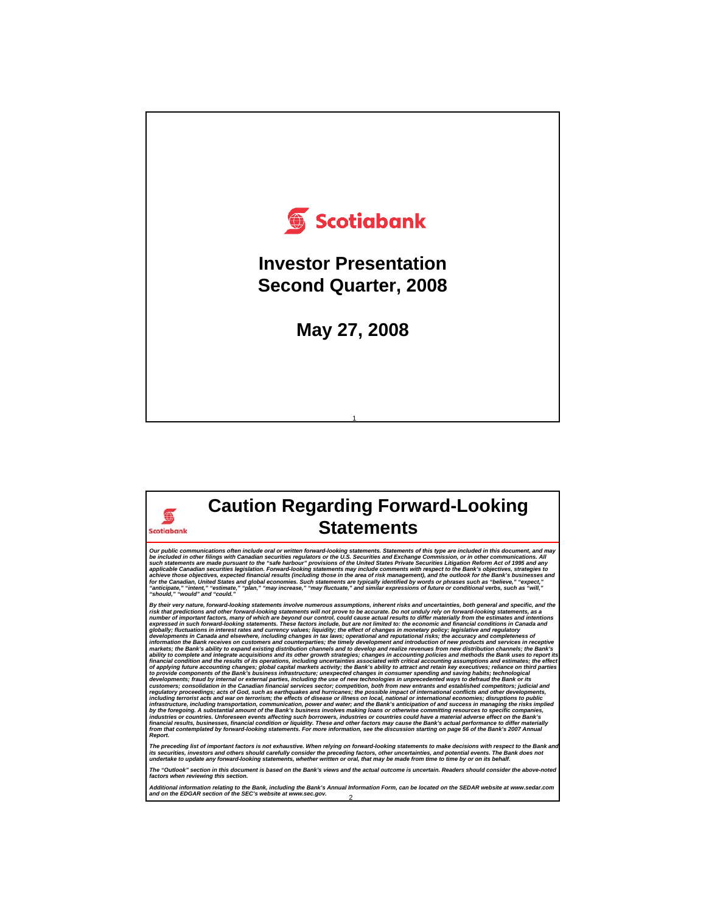

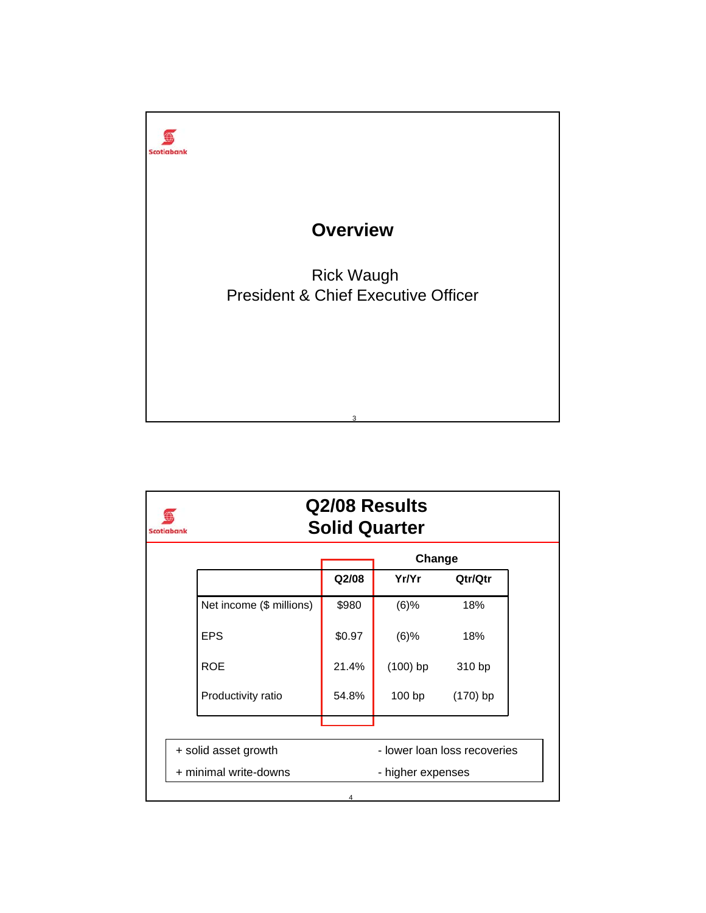

| Scotiabank | Q2/08 Results<br><b>Solid Quarter</b> |                              |                   |            |  |  |  |
|------------|---------------------------------------|------------------------------|-------------------|------------|--|--|--|
|            | Change                                |                              |                   |            |  |  |  |
|            |                                       | Q <sub>2</sub> /08           | Yr/Yr             | Qtr/Qtr    |  |  |  |
|            | Net income (\$ millions)              | \$980                        | $(6)$ %           | 18%        |  |  |  |
|            | <b>EPS</b>                            | \$0.97                       | $(6)$ %           | 18%        |  |  |  |
|            | <b>ROE</b>                            | 21.4%                        | $(100)$ bp        | 310 bp     |  |  |  |
|            | Productivity ratio                    | 54.8%                        | 100bp             | $(170)$ bp |  |  |  |
|            |                                       |                              |                   |            |  |  |  |
|            | + solid asset growth                  | - lower loan loss recoveries |                   |            |  |  |  |
|            | + minimal write-downs                 |                              | - higher expenses |            |  |  |  |
|            |                                       | 4                            |                   |            |  |  |  |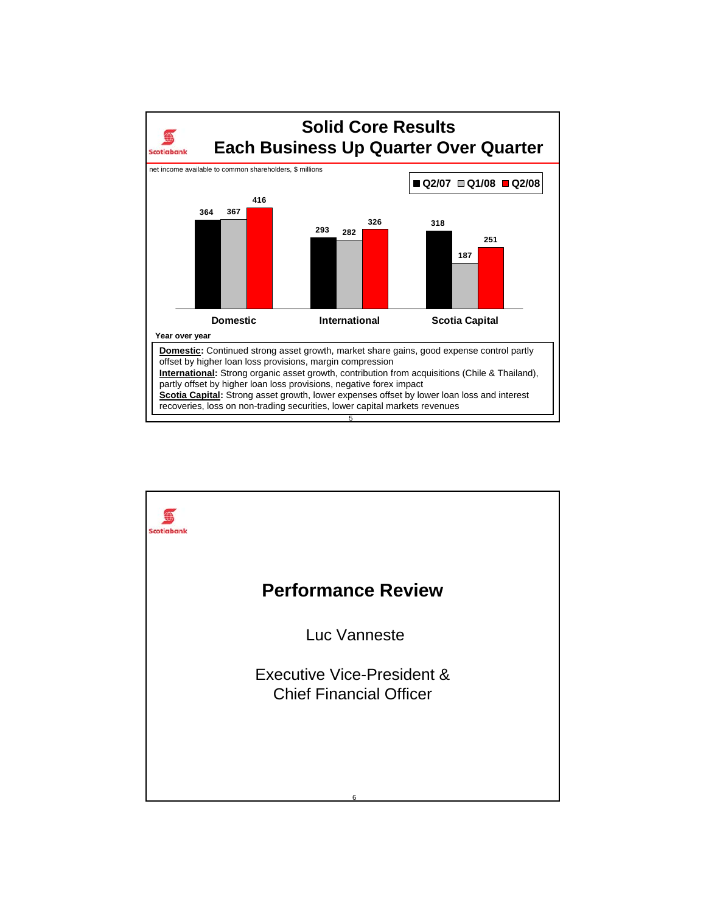

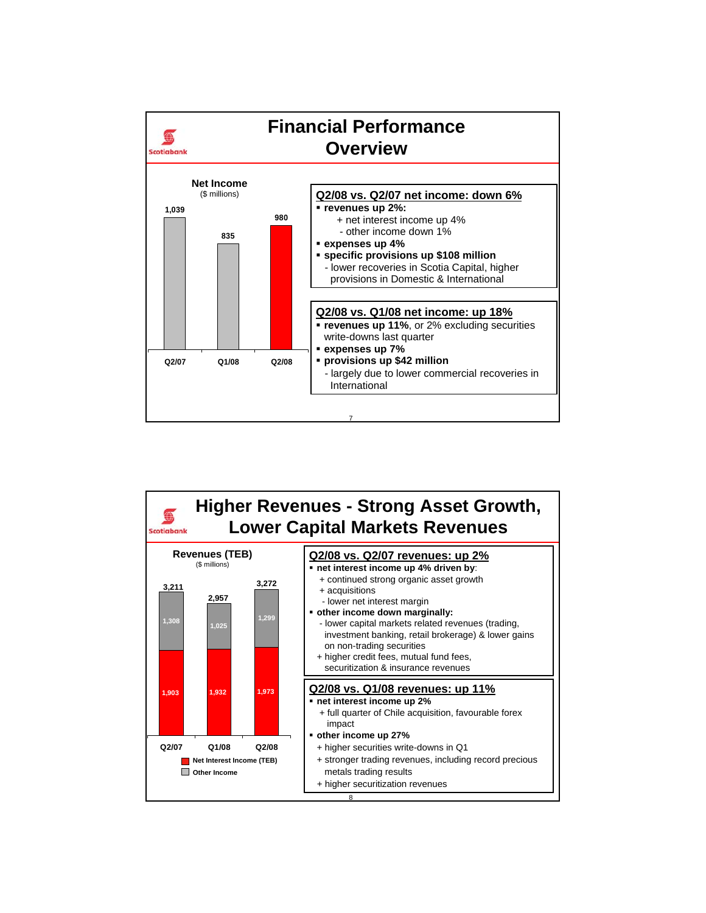

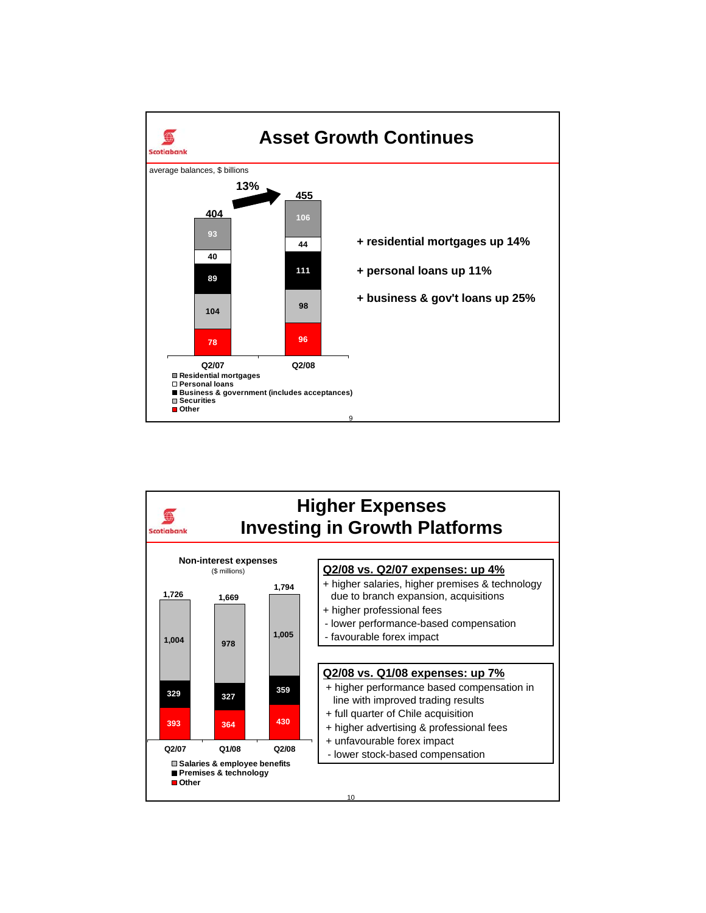

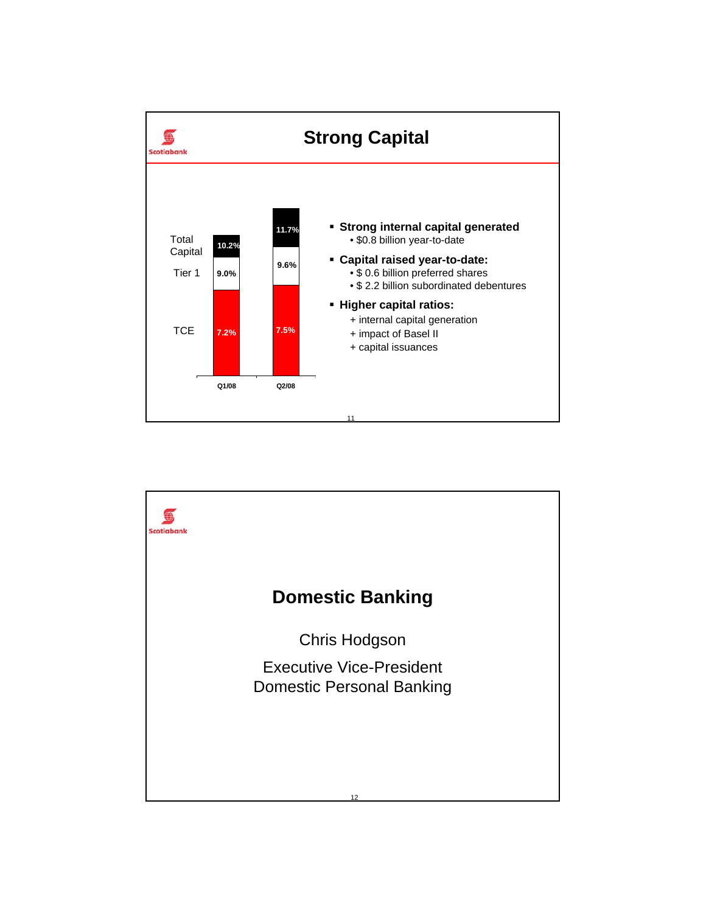

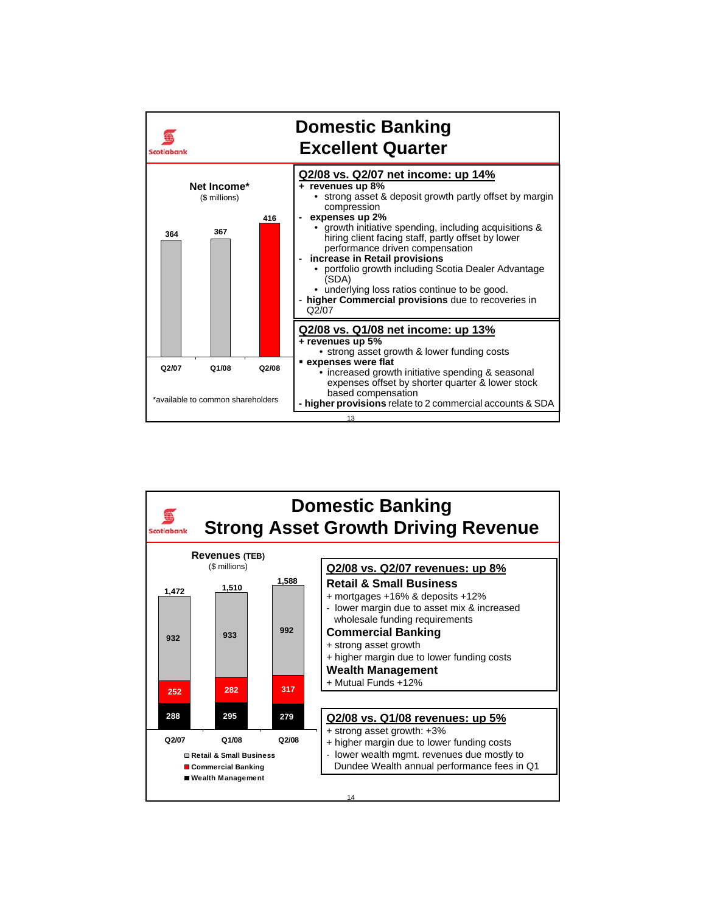

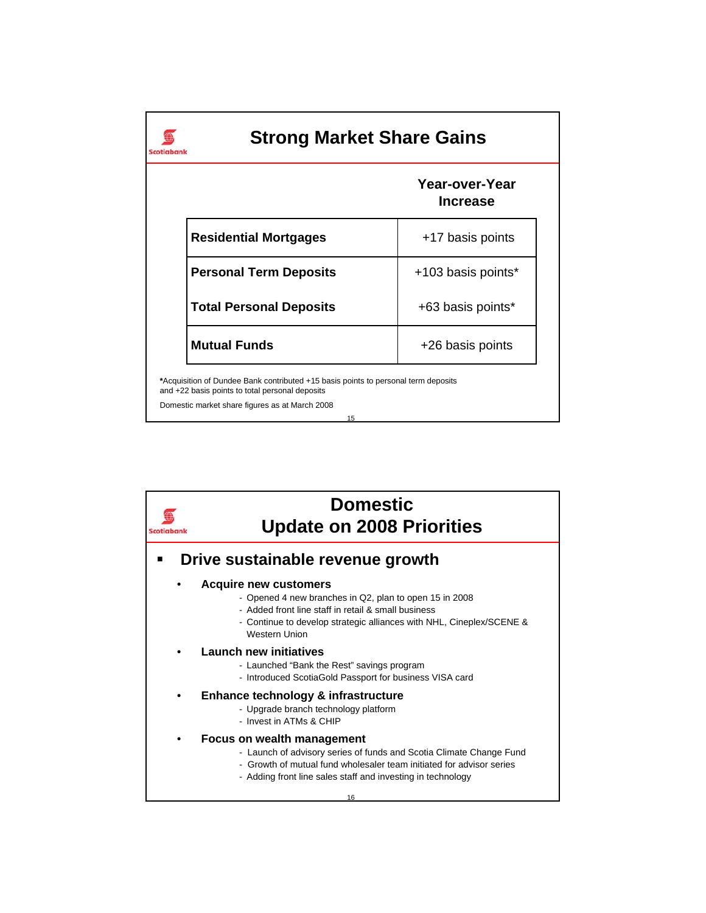| <b>Strong Market Share Gains</b><br>Scotiaban                                                                                                                                                 |                                   |  |  |  |  |  |
|-----------------------------------------------------------------------------------------------------------------------------------------------------------------------------------------------|-----------------------------------|--|--|--|--|--|
|                                                                                                                                                                                               | Year-over-Year<br><b>Increase</b> |  |  |  |  |  |
| <b>Residential Mortgages</b>                                                                                                                                                                  | +17 basis points                  |  |  |  |  |  |
| <b>Personal Term Deposits</b>                                                                                                                                                                 | +103 basis points*                |  |  |  |  |  |
| <b>Total Personal Deposits</b>                                                                                                                                                                | +63 basis points*                 |  |  |  |  |  |
| <b>Mutual Funds</b>                                                                                                                                                                           | +26 basis points                  |  |  |  |  |  |
| *Acquisition of Dundee Bank contributed +15 basis points to personal term deposits<br>and +22 basis points to total personal deposits<br>Domestic market share figures as at March 2008<br>15 |                                   |  |  |  |  |  |

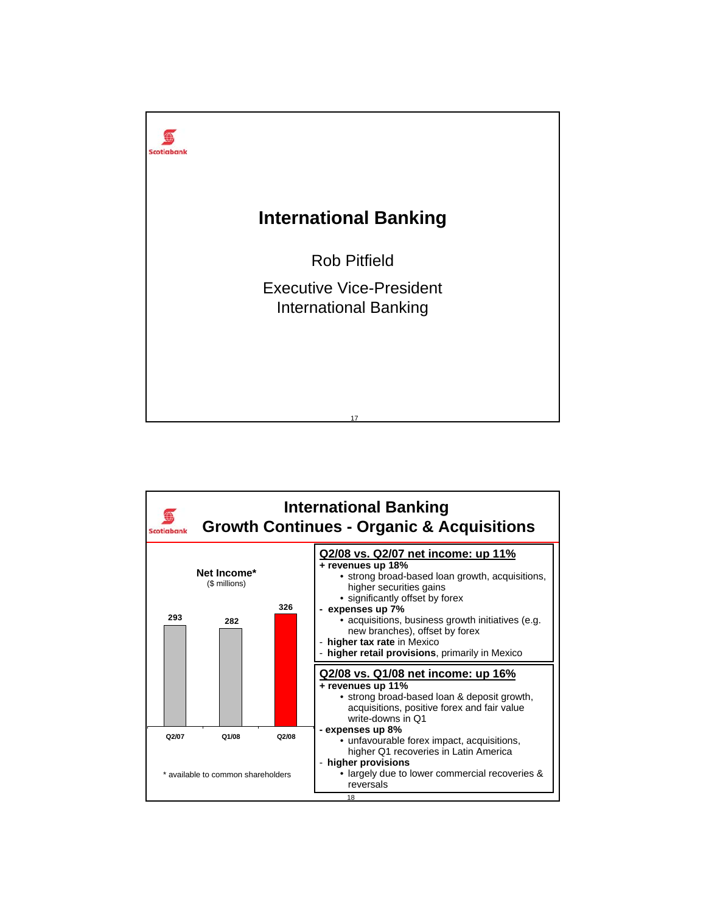

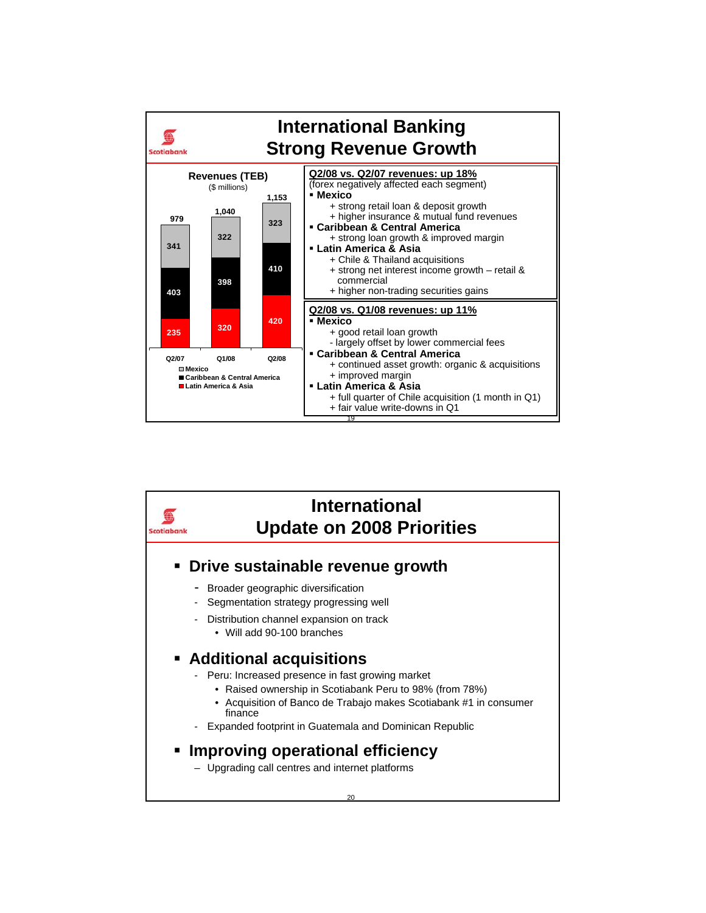

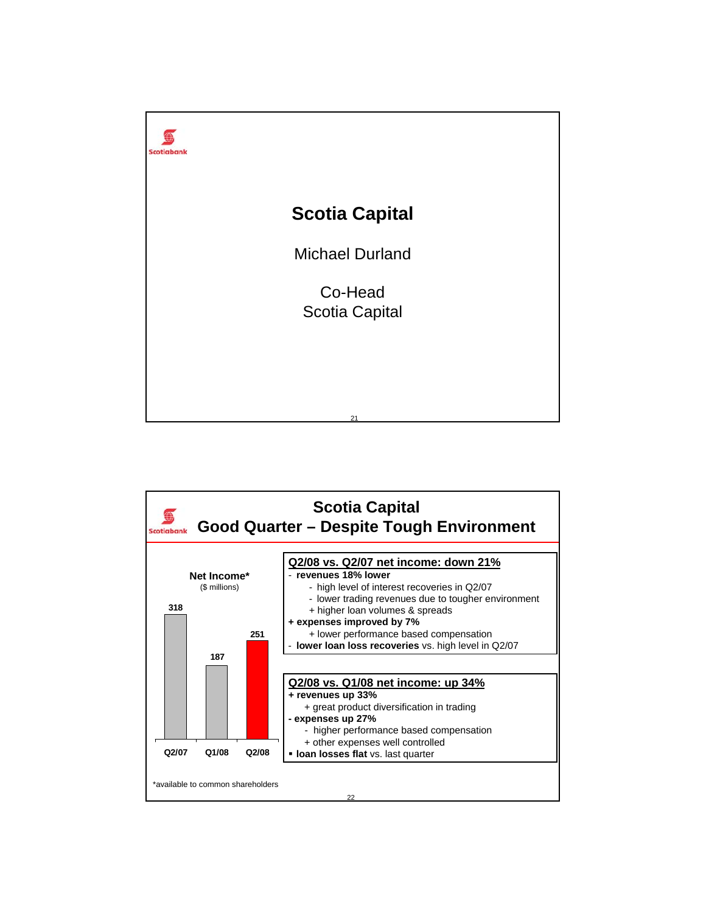

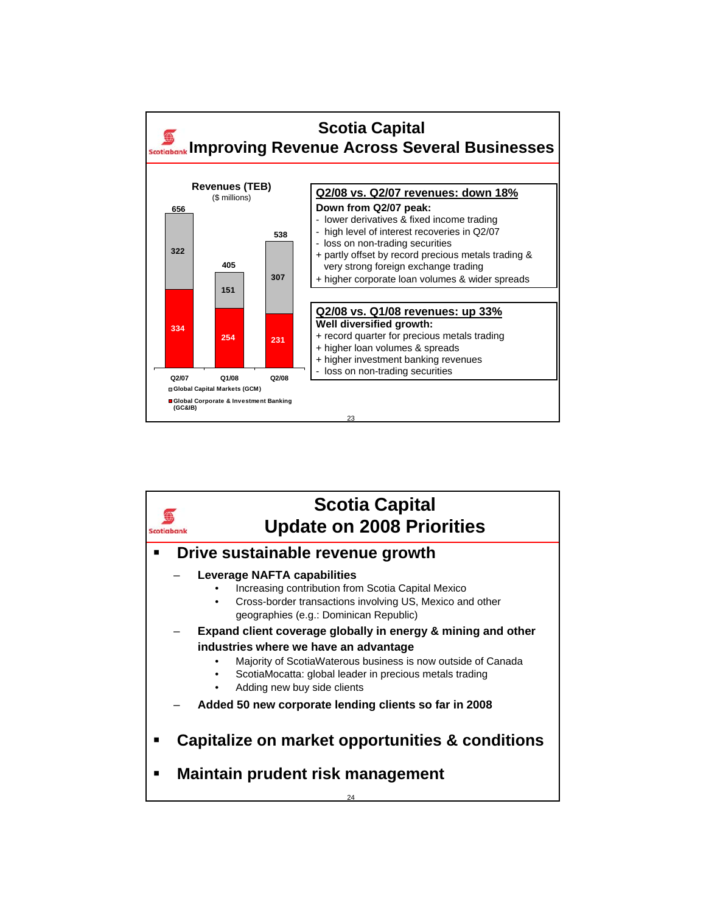

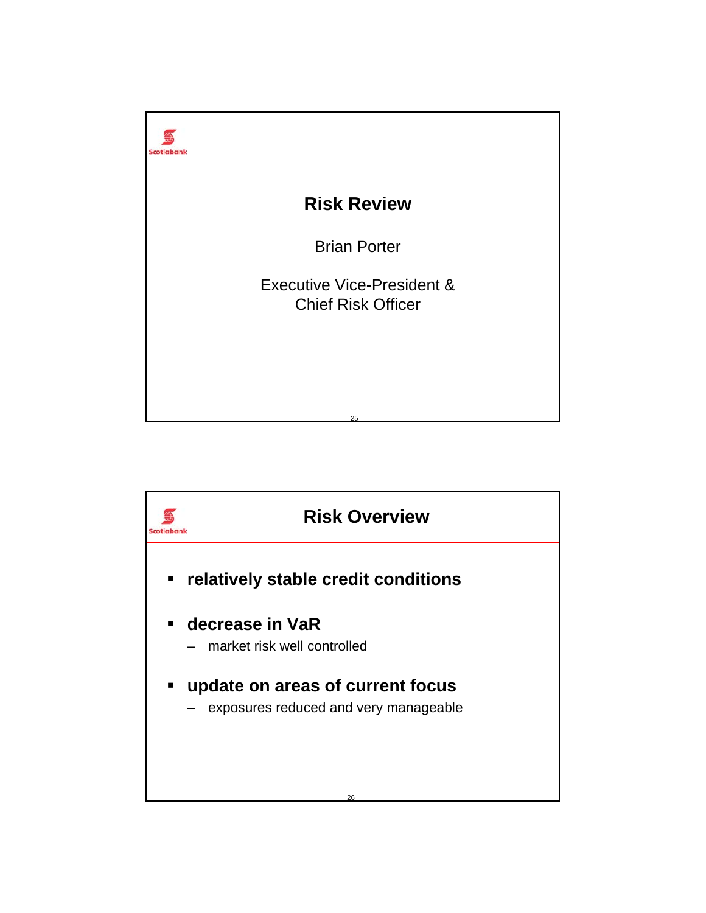

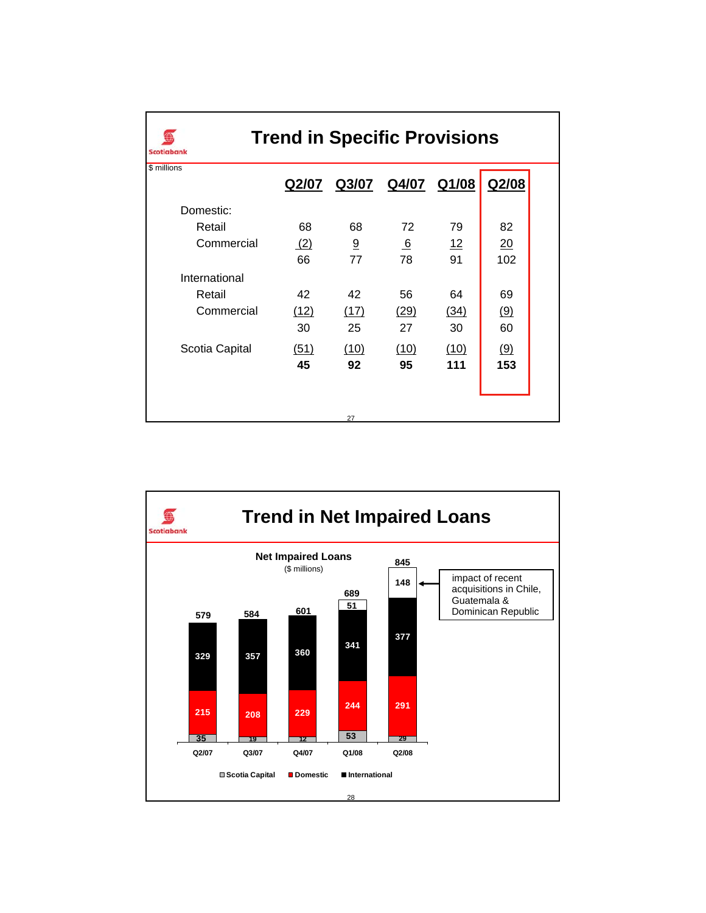| <b>Trend in Specific Provisions</b><br><b>Scotiabank</b> |       |      |                   |      |       |  |  |
|----------------------------------------------------------|-------|------|-------------------|------|-------|--|--|
| \$ millions                                              | Q2/07 |      | Q3/07 Q4/07 Q1/08 |      | Q2/08 |  |  |
| Domestic:                                                |       |      |                   |      |       |  |  |
| Retail                                                   | 68    | 68   | 72                | 79   | 82    |  |  |
| Commercial                                               | (2)   | 9    | 6                 | 12   | 20    |  |  |
|                                                          | 66    | 77   | 78                | 91   | 102   |  |  |
| International                                            |       |      |                   |      |       |  |  |
| Retail                                                   | 42    | 42   | 56                | 64   | 69    |  |  |
| Commercial                                               | (12)  | (17) | (29)              | (34) | (9)   |  |  |
|                                                          | 30    | 25   | 27                | 30   | 60    |  |  |
| Scotia Capital                                           | (51)  | (10) | (10)              | (10) | (9)   |  |  |
|                                                          | 45    | 92   | 95                | 111  | 153   |  |  |
|                                                          |       |      |                   |      |       |  |  |
|                                                          |       |      |                   |      |       |  |  |
|                                                          |       | 27   |                   |      |       |  |  |

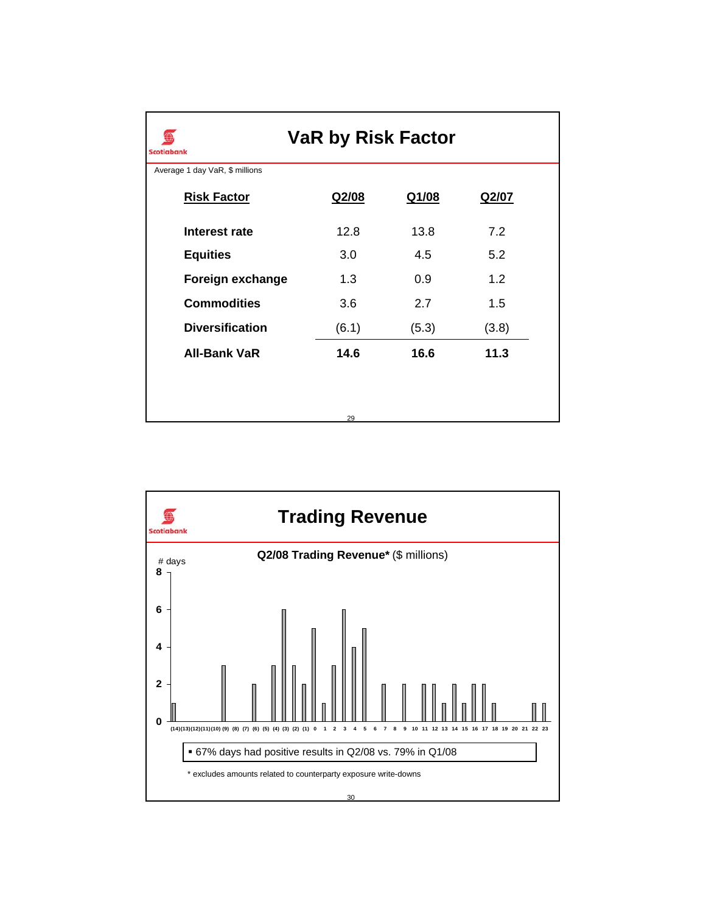| <b>VaR by Risk Factor</b><br><b>Scotiabank</b>       |             |       |  |  |  |  |  |  |  |
|------------------------------------------------------|-------------|-------|--|--|--|--|--|--|--|
| Average 1 day VaR, \$ millions<br><b>Risk Factor</b> |             |       |  |  |  |  |  |  |  |
|                                                      |             | Q2/07 |  |  |  |  |  |  |  |
| 12.8                                                 | 13.8        | 7.2   |  |  |  |  |  |  |  |
| 3.0                                                  | 4.5         | 5.2   |  |  |  |  |  |  |  |
| 1.3                                                  | 0.9         | 1.2   |  |  |  |  |  |  |  |
| 3.6                                                  | 2.7         | 1.5   |  |  |  |  |  |  |  |
| (6.1)                                                | (5.3)       | (3.8) |  |  |  |  |  |  |  |
| 14.6                                                 | 16.6        | 11.3  |  |  |  |  |  |  |  |
|                                                      |             |       |  |  |  |  |  |  |  |
|                                                      |             |       |  |  |  |  |  |  |  |
|                                                      | Q2/08<br>29 | Q1/08 |  |  |  |  |  |  |  |

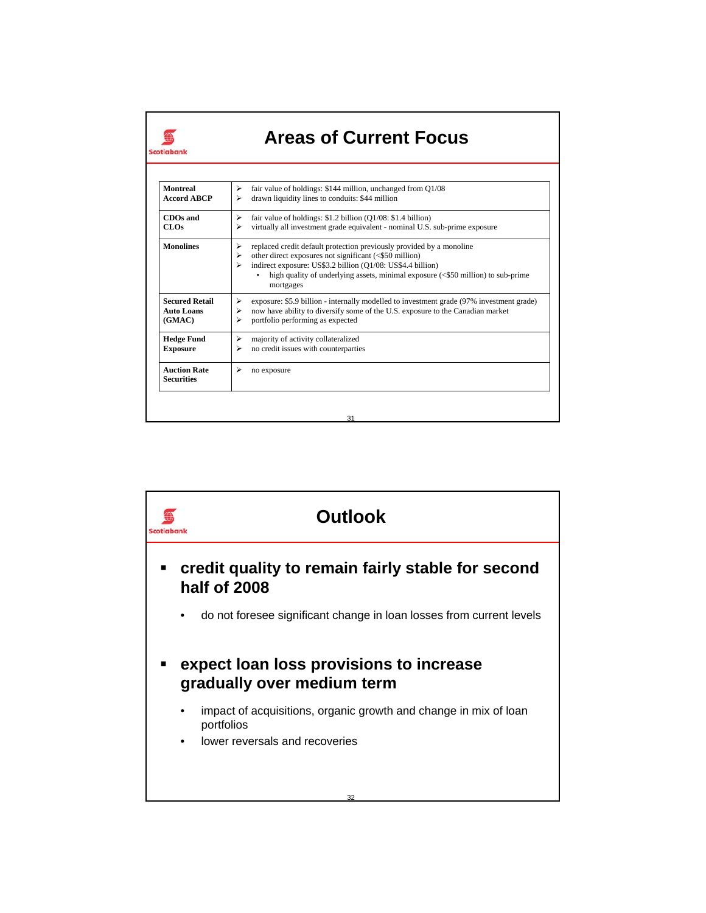| Scotiabank                                           |                                                                                                                                                                                                                                                                                                                    |
|------------------------------------------------------|--------------------------------------------------------------------------------------------------------------------------------------------------------------------------------------------------------------------------------------------------------------------------------------------------------------------|
| <b>Montreal</b><br><b>Accord ABCP</b>                | fair value of holdings: \$144 million, unchanged from Q1/08<br>⋗<br>drawn liquidity lines to conduits: \$44 million<br>⋗                                                                                                                                                                                           |
| CDOs and<br>CLOs                                     | ⋗<br>fair value of holdings: $$1.2$ billion (Q1/08: $$1.4$ billion)<br>virtually all investment grade equivalent - nominal U.S. sub-prime exposure<br>⋗                                                                                                                                                            |
| <b>Monolines</b>                                     | replaced credit default protection previously provided by a monoline<br>⋗<br>other direct exposures not significant (<\$50 million)<br>⋗<br>indirect exposure: US\$3.2 billion (Q1/08: US\$4.4 billion)<br>⋗<br>high quality of underlying assets, minimal exposure (<\$50 million) to sub-prime<br>۰<br>mortgages |
| <b>Secured Retail</b><br><b>Auto Loans</b><br>(GMAC) | exposure: \$5.9 billion - internally modelled to investment grade (97% investment grade)<br>⋗<br>now have ability to diversify some of the U.S. exposure to the Canadian market<br>⋗<br>portfolio performing as expected<br>⋗                                                                                      |
| <b>Hedge Fund</b><br><b>Exposure</b>                 | ⋗<br>majority of activity collateralized<br>no credit issues with counterparties<br>⋗                                                                                                                                                                                                                              |
| <b>Auction Rate</b><br><b>Securities</b>             | ⋗<br>no exposure                                                                                                                                                                                                                                                                                                   |

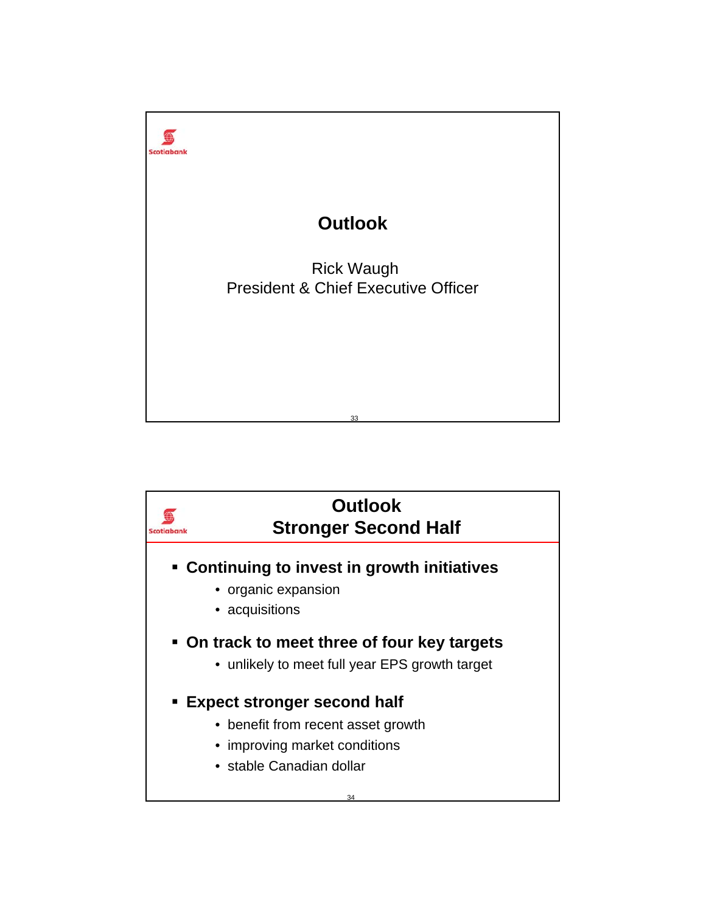

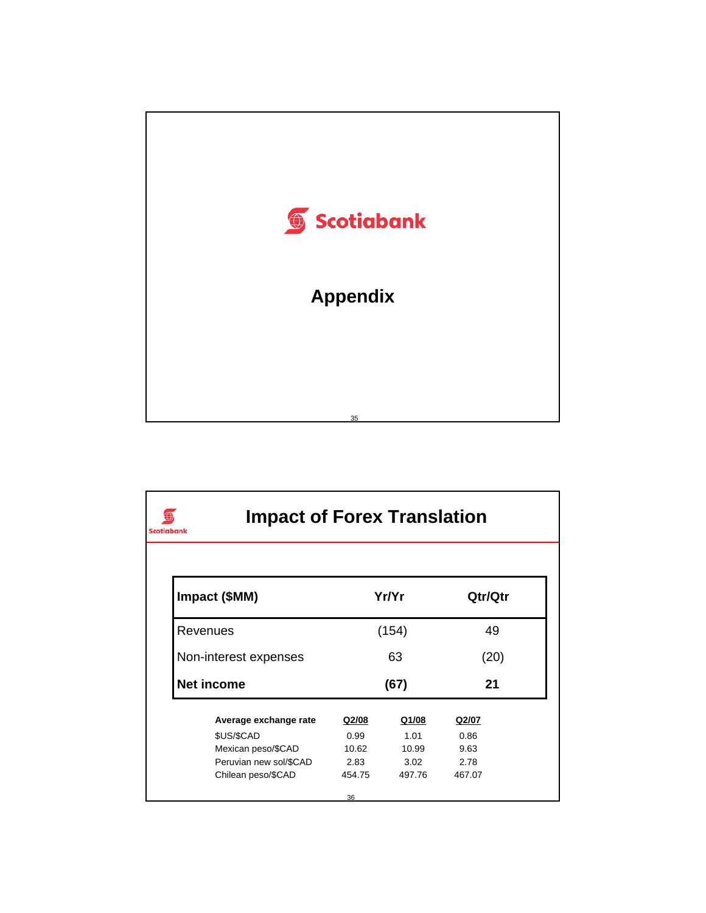

| <b>Impact of Forex Translation</b><br><b>Scotiabank</b> |        |              |         |
|---------------------------------------------------------|--------|--------------|---------|
| Impact (\$MM)                                           |        | Yr/Yr        | Qtr/Qtr |
| Revenues                                                | (154)  | 49           |         |
| Non-interest expenses                                   | 63     |              | (20)    |
| <b>Net income</b>                                       |        | (67)         | 21      |
| Average exchange rate                                   | Q2/08  | <u>Q1/08</u> | Q2/07   |
| \$US/\$CAD                                              | 0.99   | 1.01         | 0.86    |
| Mexican peso/\$CAD                                      | 10.62  | 10.99        | 9.63    |
| Peruvian new sol/\$CAD                                  | 2.83   | 3.02         | 2.78    |
| Chilean peso/\$CAD                                      | 454.75 | 497.76       | 467.07  |
|                                                         | 36     |              |         |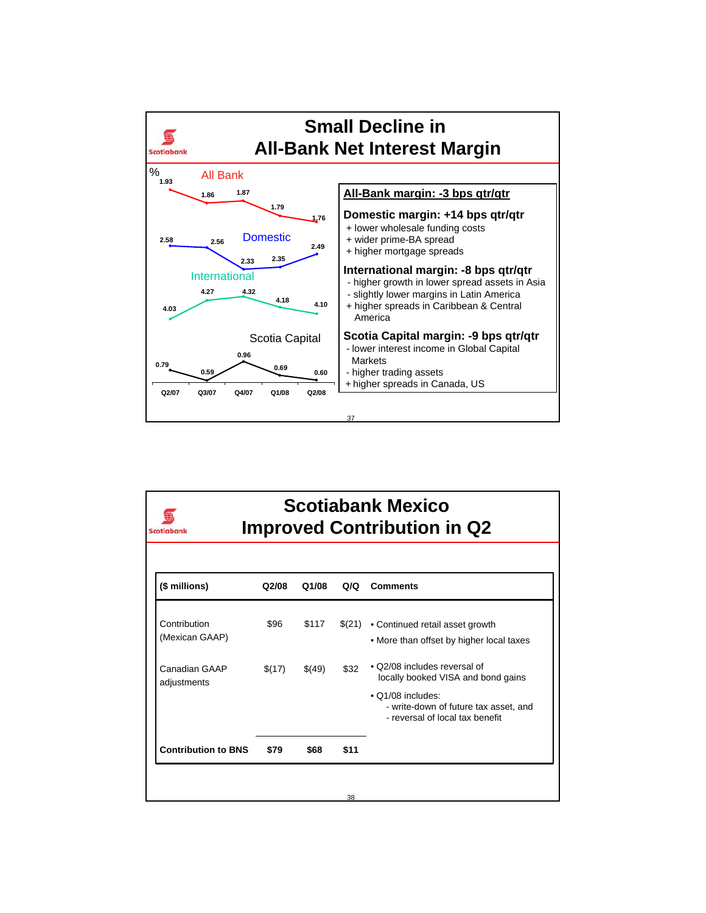

| <b>Scotiabank Mexico</b><br><b>Improved Contribution in Q2</b><br>Scotiabank |        |        |      |                                                                                                                                                                     |  |  |
|------------------------------------------------------------------------------|--------|--------|------|---------------------------------------------------------------------------------------------------------------------------------------------------------------------|--|--|
| (\$ millions)                                                                | Q2/08  | Q1/08  | Q/Q  | <b>Comments</b>                                                                                                                                                     |  |  |
| Contribution<br>(Mexican GAAP)                                               | \$96   | \$117  |      | $$(21) \rightarrow$ Continued retail asset growth<br>• More than offset by higher local taxes                                                                       |  |  |
| Canadian GAAP<br>adjustments                                                 | \$(17) | \$(49) | \$32 | • Q2/08 includes reversal of<br>locally booked VISA and bond gains<br>• Q1/08 includes:<br>- write-down of future tax asset, and<br>- reversal of local tax benefit |  |  |
| <b>Contribution to BNS</b>                                                   | \$79   | \$68   | \$11 |                                                                                                                                                                     |  |  |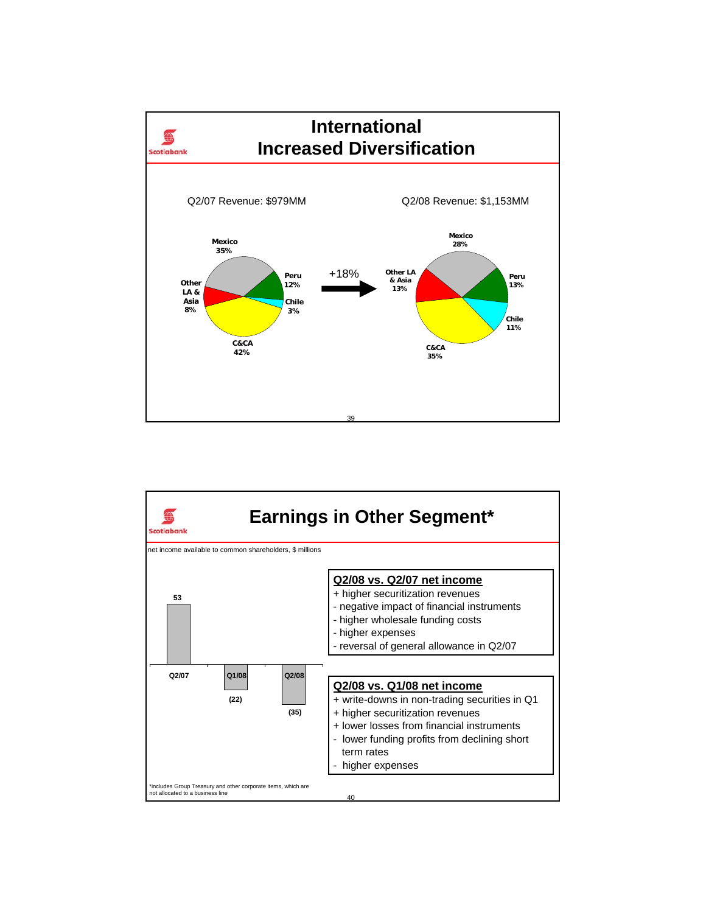

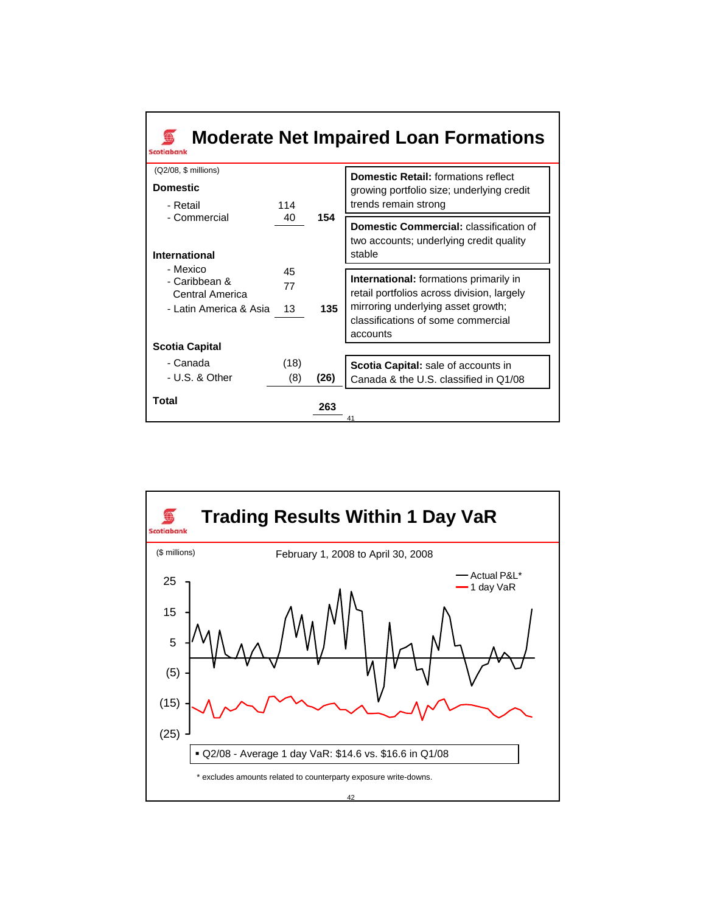